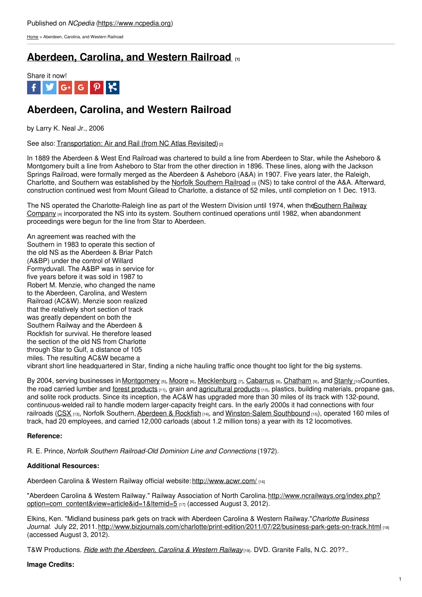[Home](https://www.ncpedia.org/) > Aberdeen, Carolina, and Western Railroad

## **[Aberdeen,](https://www.ncpedia.org/aberdeen-carolina-and-western-railr) Carolina, and Western Railroad [1]**



# **Aberdeen, Carolina, and Western Railroad**

by Larry K. Neal Jr., 2006

See also: [Transportation:](https://www.ncpedia.org/transportation-air-and-rail-nc) Air and Rail (from NC Atlas Revisited)<sup>[2]</sup>

In 1889 the Aberdeen & West End Railroad was chartered to build a line from Aberdeen to Star, while the Asheboro & Montgomery built a line from Asheboro to Star from the other direction in 1896. These lines, along with the Jackson Springs Railroad, were formally merged as the Aberdeen & Asheboro (A&A) in 1907. Five years later, the Raleigh, Charlotte, and [Southern](https://www.ncpedia.org/norfolk-southern-railroad) was established by the Norfolk Southern Railroad  $[3]$  (NS) to take control of the A&A. Afterward, construction continued west from Mount [Gilead](http://www.social9.com) to Charlotte, a distance of 52 miles, until completion on 1 Dec. 1913.

The NS operated the [Charlotte-Raleigh](https://www.ncpedia.org/southern-railway-system) line as part of the Western Division until 1974, when the Southern Railway Company [4] incorporated the NS into its system. Southern continued operations until 1982, when abandonment proceedings were begun for the line from Star to Aberdeen.

An agreement was reached with the Southern in 1983 to operate this section of the old NS as the Aberdeen & Briar Patch (A&BP) under the control of Willard Formyduvall. The A&BP was in service for five years before it was sold in 1987 to Robert M. Menzie, who changed the name to the Aberdeen, Carolina, and Western Railroad (AC&W). Menzie soon realized that the relatively short section of track was greatly dependent on both the Southern Railway and the Aberdeen & Rockfish for survival. He therefore leased the section of the old NS from Charlotte through Star to Gulf, a distance of 105 miles. The resulting AC&W became a vibrant short line headquartered in Star, finding a niche hauling traffic once thought too light for the big systems.

By 2004, serving businesses in [Montgomery](https://www.ncpedia.org/geography/montgomery) [5], [Moore](https://www.ncpedia.org/geography/moore) [6], [Mecklenburg](https://www.ncpedia.org/geography/mecklenburg) [7], [Cabarrus](https://www.ncpedia.org/geography/cabarrus) [8], [Chatham](https://www.ncpedia.org/geography/chatham) [9], and [Stanly](https://www.ncpedia.org/geography/stanly) [10]Counties, the road carried lumber and forest [products](https://www.ncpedia.org/category/subjects/forests-and-fores) [11], grain and [agricultural](https://www.ncpedia.org/agriculture/ag-products) products [12], plastics, building materials, propane gas, and solite rock products. Since its inception, the AC&W has upgraded more than 30 miles of its track with 132-pound, continuous-welded rail to handle modern larger-capacity freight cars. In the early 2000s it had connections with four railroads [\(CSX](https://www.ncpedia.org/csx-corporation) [13], Norfolk Southern, [Aberdeen](https://www.ncpedia.org/aberdeen-rockfish-railroad-company) & Rockfish [14], and [Winston-Salem](https://www.ncpedia.org/winston-salem-southbound-railway) Southbound [15]), operated 160 miles of track, had 20 employees, and carried 12,000 carloads (about 1.2 million tons) a year with its 12 locomotives.

### **Reference:**

R. E. Prince, *Norfolk Southern Railroad-Old Dominion Line and Connections* (1972).

### **Additional Resources:**

Aberdeen Carolina & Western Railway official website: <http://www.acwr.com/> [16]

"Aberdeen Carolina & Western Railway." Railway Association of North Carolina.http://www.ncrailways.org/index.php? [option=com\\_content&view=article&id=1&Itemid=5](http://www.ncrailways.org/index.php?option=com_content&view=article&id=1&Itemid=5) [17] (accessed August 3, 2012).

Elkins, Ken. "Midland business park gets on track with Aberdeen Carolina & Western Railway."*Charlotte Business Journal.* July 22, 2011. <http://www.bizjournals.com/charlotte/print-edition/2011/07/22/business-park-gets-on-track.html> [18] (accessed August 3, 2012).

T&W Productions. *Ride with the [Aberdeen,](http://twproductionsvideos.com/videos.shtml) Carolina & Western Railway* [19]. DVD. Granite Falls, N.C. 20??..

### **Image Credits:**